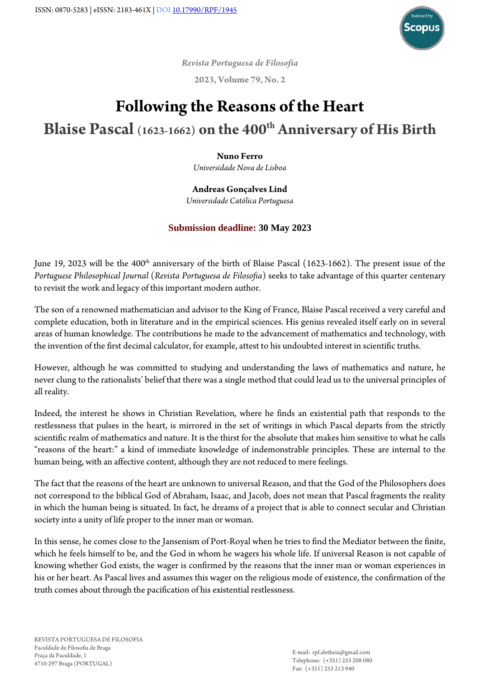

*Revista Portuguesa de Filosofia*

**2023, Volume 79, No. 2**

## **Following the Reasons of the Heart Blaise Pascal (1623-1662) on the 400th Anniversary of His Birth**

## **Nuno Ferro**

*Universidade Nova de Lisboa*

## **Andreas Gonçalves Lind**

*Universidade Católica Portuguesa*

## **Submission deadline: 30 May 2023**

June 19, 2023 will be the 400<sup>th</sup> anniversary of the birth of Blaise Pascal (1623-1662). The present issue of the *Portuguese Philosophical Journal* (*Revista Portuguesa de Filosofia*) seeks to take advantage of this quarter centenary to revisit the work and legacy of this important modern author.

The son of a renowned mathematician and advisor to the King of France, Blaise Pascal received a very careful and complete education, both in literature and in the empirical sciences. His genius revealed itself early on in several areas of human knowledge. The contributions he made to the advancement of mathematics and technology, with the invention of the first decimal calculator, for example, attest to his undoubted interest in scientific truths.

However, although he was committed to studying and understanding the laws of mathematics and nature, he never clung to the rationalists' belief that there was a single method that could lead us to the universal principles of all reality.

Indeed, the interest he shows in Christian Revelation, where he finds an existential path that responds to the restlessness that pulses in the heart, is mirrored in the set of writings in which Pascal departs from the strictly scientific realm of mathematics and nature. It is the thirst for the absolute that makes him sensitive to what he calls "reasons of the heart:" a kind of immediate knowledge of indemonstrable principles. These are internal to the human being, with an affective content, although they are not reduced to mere feelings.

The fact that the reasons of the heart are unknown to universal Reason, and that the God of the Philosophers does not correspond to the biblical God of Abraham, Isaac, and Jacob, does not mean that Pascal fragments the reality in which the human being is situated. In fact, he dreams of a project that is able to connect secular and Christian society into a unity of life proper to the inner man or woman.

In this sense, he comes close to the Jansenism of Port-Royal when he tries to find the Mediator between the finite, which he feels himself to be, and the God in whom he wagers his whole life. If universal Reason is not capable of knowing whether God exists, the wager is confirmed by the reasons that the inner man or woman experiences in his or her heart. As Pascal lives and assumes this wager on the religious mode of existence, the confirmation of the truth comes about through the pacification of his existential restlessness.